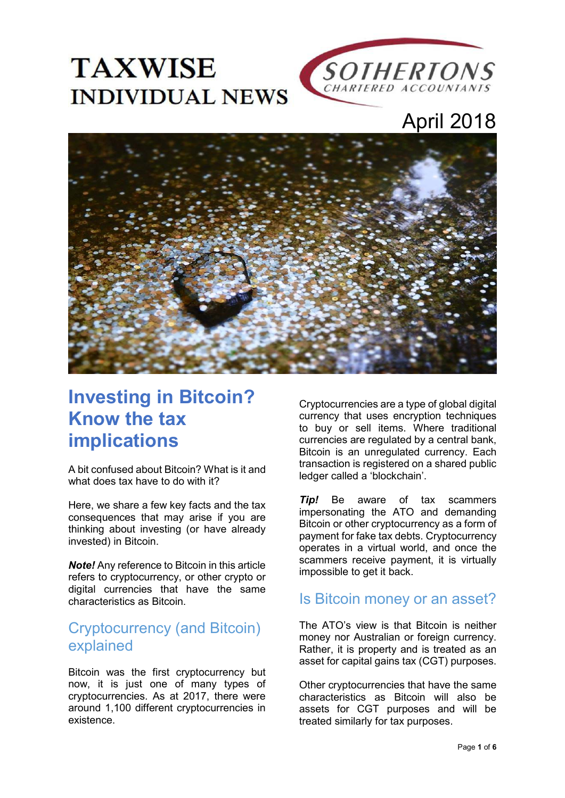



# April 2018



# **Investing in Bitcoin? Know the tax implications**

A bit confused about Bitcoin? What is it and what does tax have to do with it?

Here, we share a few key facts and the tax consequences that may arise if you are thinking about investing (or have already invested) in Bitcoin.

*Note!* Any reference to Bitcoin in this article refers to cryptocurrency, or other crypto or digital currencies that have the same characteristics as Bitcoin.

### Cryptocurrency (and Bitcoin) explained

Bitcoin was the first cryptocurrency but now, it is just one of many types of cryptocurrencies. As at 2017, there were around 1,100 different cryptocurrencies in existence.

Cryptocurrencies are a type of global digital currency that uses encryption techniques to buy or sell items. Where traditional currencies are regulated by a central bank, Bitcoin is an unregulated currency. Each transaction is registered on a shared public ledger called a 'blockchain'.

**Tip!** Be aware of tax scammers impersonating the ATO and demanding Bitcoin or other cryptocurrency as a form of payment for fake tax debts. Cryptocurrency operates in a virtual world, and once the scammers receive payment, it is virtually impossible to get it back.

### Is Bitcoin money or an asset?

The ATO's view is that Bitcoin is neither money nor Australian or foreign currency. Rather, it is property and is treated as an asset for capital gains tax (CGT) purposes.

Other cryptocurrencies that have the same characteristics as Bitcoin will also be assets for CGT purposes and will be treated similarly for tax purposes.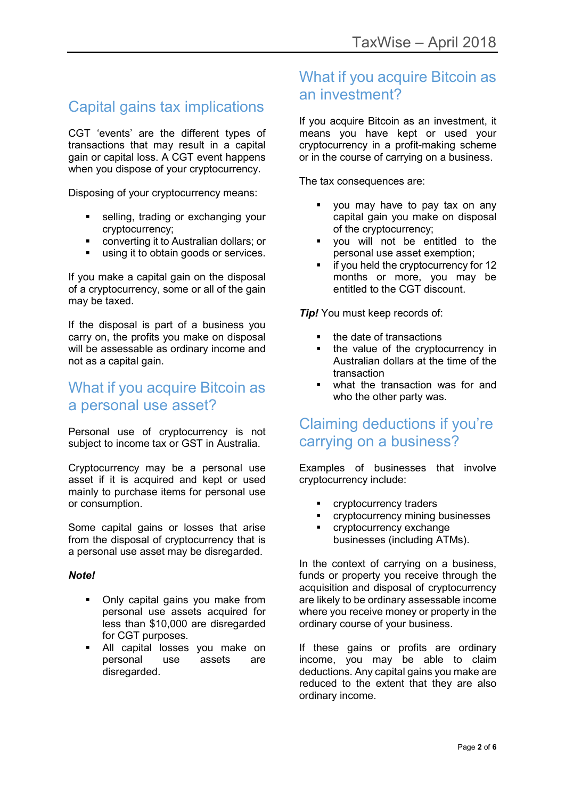## Capital gains tax implications

CGT 'events' are the different types of transactions that may result in a capital gain or capital loss. A CGT event happens when you dispose of your cryptocurrency.

Disposing of your cryptocurrency means:

- selling, trading or exchanging your cryptocurrency;
- converting it to Australian dollars; or
- using it to obtain goods or services.

If you make a capital gain on the disposal of a cryptocurrency, some or all of the gain may be taxed.

If the disposal is part of a business you carry on, the profits you make on disposal will be assessable as ordinary income and not as a capital gain.

#### What if you acquire Bitcoin as a personal use asset?

Personal use of cryptocurrency is not subject to income tax or GST in Australia.

Cryptocurrency may be a personal use asset if it is acquired and kept or used mainly to purchase items for personal use or consumption.

Some capital gains or losses that arise from the disposal of cryptocurrency that is a personal use asset may be disregarded.

#### *Note!*

- Only capital gains you make from personal use assets acquired for less than \$10,000 are disregarded for CGT purposes.
- All capital losses you make on personal use assets are disregarded.

### What if you acquire Bitcoin as an investment?

If you acquire Bitcoin as an investment, it means you have kept or used your cryptocurrency in a profit-making scheme or in the course of carrying on a business.

The tax consequences are:

- you may have to pay tax on any capital gain you make on disposal of the cryptocurrency;
- you will not be entitled to the personal use asset exemption;
- if you held the cryptocurrency for 12 months or more, you may be entitled to the CGT discount.

*Tip!* You must keep records of:

- the date of transactions
- the value of the cryptocurrency in Australian dollars at the time of the transaction
- what the transaction was for and who the other party was.

#### Claiming deductions if you're carrying on a business?

Examples of businesses that involve cryptocurrency include:

- cryptocurrency traders
- cryptocurrency mining businesses
- cryptocurrency exchange businesses (including ATMs).

In the context of carrying on a business, funds or property you receive through the acquisition and disposal of cryptocurrency are likely to be ordinary assessable income where you receive money or property in the ordinary course of your business.

If these gains or profits are ordinary income, you may be able to claim deductions. Any capital gains you make are reduced to the extent that they are also ordinary income.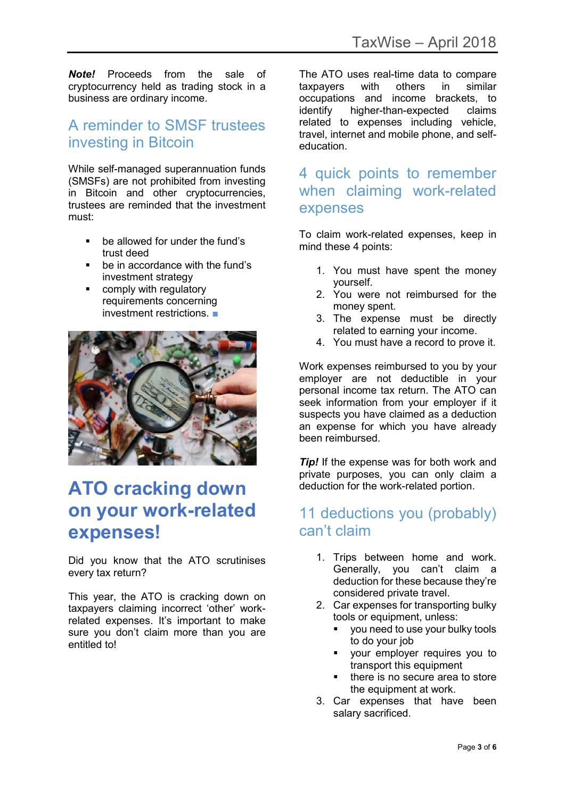*Note!* Proceeds from the sale of cryptocurrency held as trading stock in a business are ordinary income.

### A reminder to SMSF trustees investing in Bitcoin

While self-managed superannuation funds (SMSFs) are not prohibited from investing in Bitcoin and other cryptocurrencies, trustees are reminded that the investment must:

- **•** be allowed for under the fund's trust deed
- be in accordance with the fund's investment strategy
- **EXECOMPLE 12 COMPLA** regulatory requirements concerning investment restrictions. ■



# **ATO cracking down on your work-related expenses!**

Did you know that the ATO scrutinises every tax return?

This year, the ATO is cracking down on taxpayers claiming incorrect 'other' workrelated expenses. It's important to make sure you don't claim more than you are entitled to!

The ATO uses real-time data to compare taxpayers with others in similar occupations and income brackets, to identify higher-than-expected claims related to expenses including vehicle, travel, internet and mobile phone, and selfeducation.

#### 4 quick points to remember when claiming work-related expenses

To claim work-related expenses, keep in mind these 4 points:

- 1. You must have spent the money yourself.
- 2. You were not reimbursed for the money spent.
- 3. The expense must be directly related to earning your income.
- 4. You must have a record to prove it.

Work expenses reimbursed to you by your employer are not deductible in your personal income tax return. The ATO can seek information from your employer if it suspects you have claimed as a deduction an expense for which you have already been reimbursed.

*Tip!* If the expense was for both work and private purposes, you can only claim a deduction for the work-related portion.

## 11 deductions you (probably) can't claim

- 1. Trips between home and work. Generally, you can't claim a deduction for these because they're considered private travel.
- 2. Car expenses for transporting bulky tools or equipment, unless:
	- you need to use your bulky tools to do your job
	- your employer requires you to transport this equipment
	- there is no secure area to store the equipment at work.
- 3. Car expenses that have been salary sacrificed.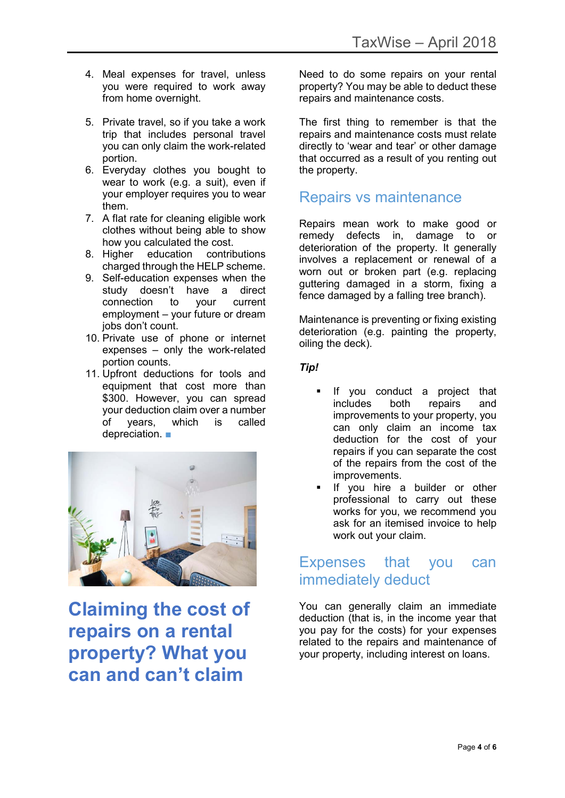- 4. Meal expenses for travel, unless you were required to work away from home overnight.
- 5. Private travel, so if you take a work trip that includes personal travel you can only claim the work-related portion.
- 6. Everyday clothes you bought to wear to work (e.g. a suit), even if your employer requires you to wear them.
- 7. A flat rate for cleaning eligible work clothes without being able to show how you calculated the cost.
- 8. Higher education contributions charged through the HELP scheme.
- 9. Self-education expenses when the study doesn't have a direct connection to your current employment – your future or dream jobs don't count.
- 10. Private use of phone or internet expenses – only the work-related portion counts.
- 11. Upfront deductions for tools and equipment that cost more than \$300. However, you can spread your deduction claim over a number of years, which is called depreciation. ■



**Claiming the cost of repairs on a rental property? What you can and can't claim**

Need to do some repairs on your rental property? You may be able to deduct these repairs and maintenance costs.

The first thing to remember is that the repairs and maintenance costs must relate directly to 'wear and tear' or other damage that occurred as a result of you renting out the property.

#### Repairs vs maintenance

Repairs mean work to make good or remedy defects in, damage to or deterioration of the property. It generally involves a replacement or renewal of a worn out or broken part (e.g. replacing guttering damaged in a storm, fixing a fence damaged by a falling tree branch).

Maintenance is preventing or fixing existing deterioration (e.g. painting the property, oiling the deck).

*Tip!* 

- If you conduct a project that includes both repairs and improvements to your property, you can only claim an income tax deduction for the cost of your repairs if you can separate the cost of the repairs from the cost of the improvements.
- If you hire a builder or other professional to carry out these works for you, we recommend you ask for an itemised invoice to help work out your claim.

#### Expenses that you can immediately deduct

You can generally claim an immediate deduction (that is, in the income year that you pay for the costs) for your expenses related to the repairs and maintenance of your property, including interest on loans.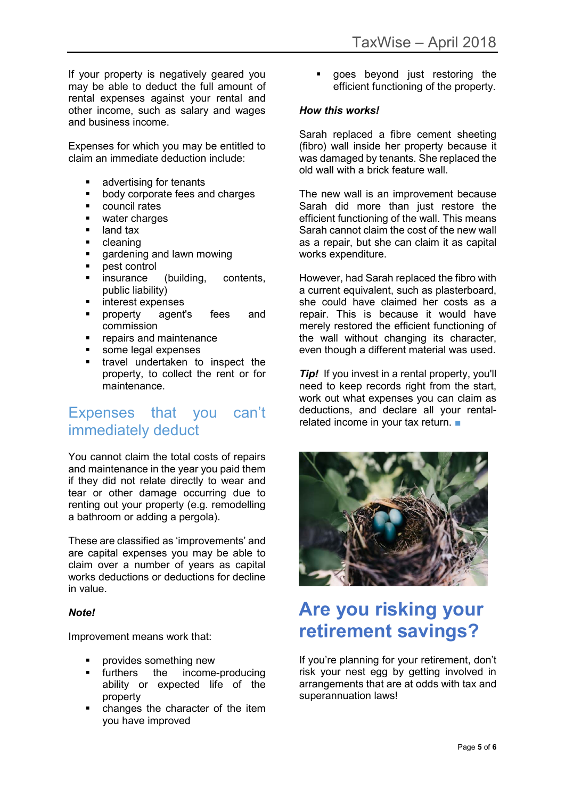If your property is negatively geared you may be able to deduct the full amount of rental expenses against your rental and other income, such as salary and wages and business income.

Expenses for which you may be entitled to claim an immediate deduction include:

- advertising for tenants
- **body corporate fees and charges**
- **•** council rates
- water charges
- **-** land tax
- cleaning
- **qardenting and lawn mowing**
- pest control
- **EXECUTE:** Insurance (building, contents, public liability)
- **n** interest expenses
- property agent's fees and commission
- **•** repairs and maintenance
- some legal expenses
- travel undertaken to inspect the property, to collect the rent or for maintenance.

### Expenses that you can't immediately deduct

You cannot claim the total costs of repairs and maintenance in the year you paid them if they did not relate directly to wear and tear or other damage occurring due to renting out your property (e.g. remodelling a bathroom or adding a pergola).

These are classified as 'improvements' and are capital expenses you may be able to claim over a number of years as capital works deductions or deductions for decline in value.

#### *Note!*

Improvement means work that:

- provides something new
- furthers the income-producing ability or expected life of the property
- changes the character of the item you have improved

 goes beyond just restoring the efficient functioning of the property.

#### *How this works!*

Sarah replaced a fibre cement sheeting (fibro) wall inside her property because it was damaged by tenants. She replaced the old wall with a brick feature wall.

The new wall is an improvement because Sarah did more than just restore the efficient functioning of the wall. This means Sarah cannot claim the cost of the new wall as a repair, but she can claim it as capital works expenditure.

However, had Sarah replaced the fibro with a current equivalent, such as plasterboard, she could have claimed her costs as a repair. This is because it would have merely restored the efficient functioning of the wall without changing its character, even though a different material was used.

*Tip!* If you invest in a rental property, you'll need to keep records right from the start, work out what expenses you can claim as deductions, and declare all your rentalrelated income in your tax return. ■



# **Are you risking your retirement savings?**

If you're planning for your retirement, don't risk your nest egg by getting involved in arrangements that are at odds with tax and superannuation laws!